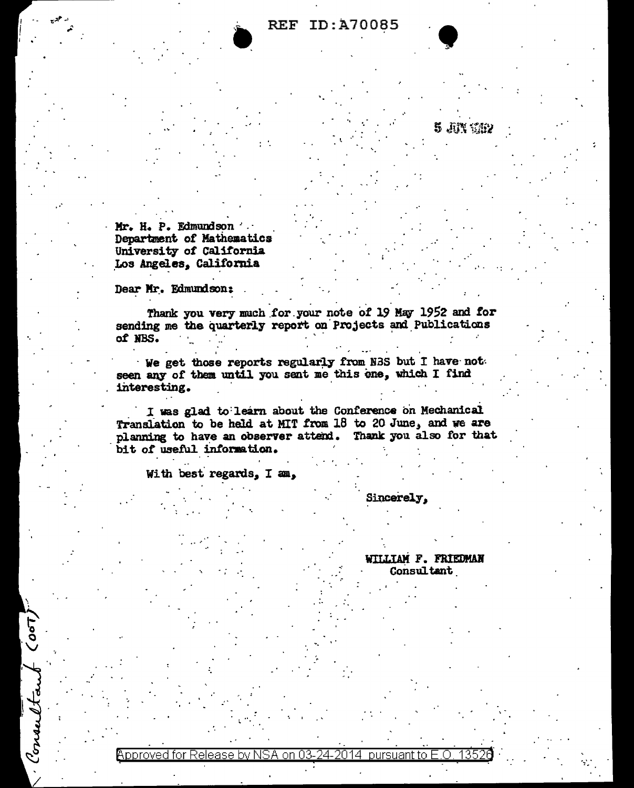# **REF ID: A70085**

Mr. H. P. Edmundson Department of Mathematics University of California Los Angeles, California

Dear Mr. Edmundson:

 $\sigma$ 

Consulto

Thank you very much for your note of 19 May 1952 and for sending me the quarterly report on Projects and Publications of NBS.

We get those reports regularly from NBS but I have not seen any of them until you sent me this one, which I find interesting.

I was glad to learn about the Conference on Mechanical Translation to be held at MIT from 18 to 20 June, and we are planning to have an observer attend. Thank you also for that bit of useful information.

With best regards, I am,

Sincerely.

WILLIAM F. FRIEDMAN **Consultant** 

5 Jun 1782

Approved for Release by NSA on 03-24-2014 pursuant to E.O. 1352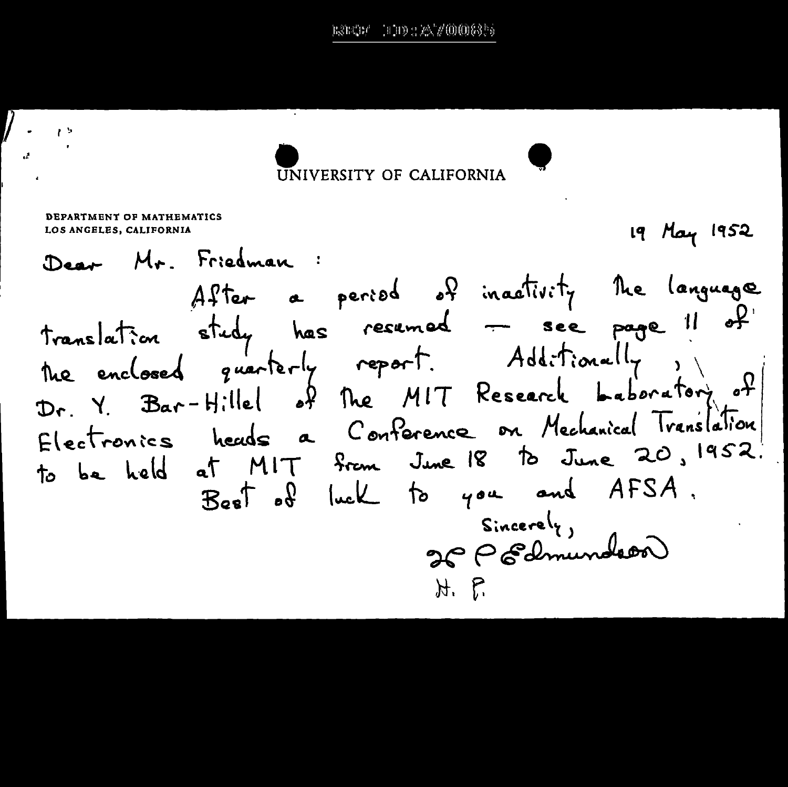# UNIVERSITY OF CALIFORNIA

DEPARTMENT OF MATHEMATICS 19 May 1952 LOS ANGELES, CALIFORNIA Mr. Friedman : After a period of inactivity the language translation study has resumed - see page !  $\bullet$ the enclosed quarterly report. Additionally Dr. Y. Bar-Hillel of the MIT Research Laboratory of Electronics heads a Conference on Mechanical Translation to be held at MIT from June 18 to June 20, 1952. Best of luck to you and AFSA.  $Sineer \mathcal{C}_{\gamma}$ 26 P Edmundeer H. P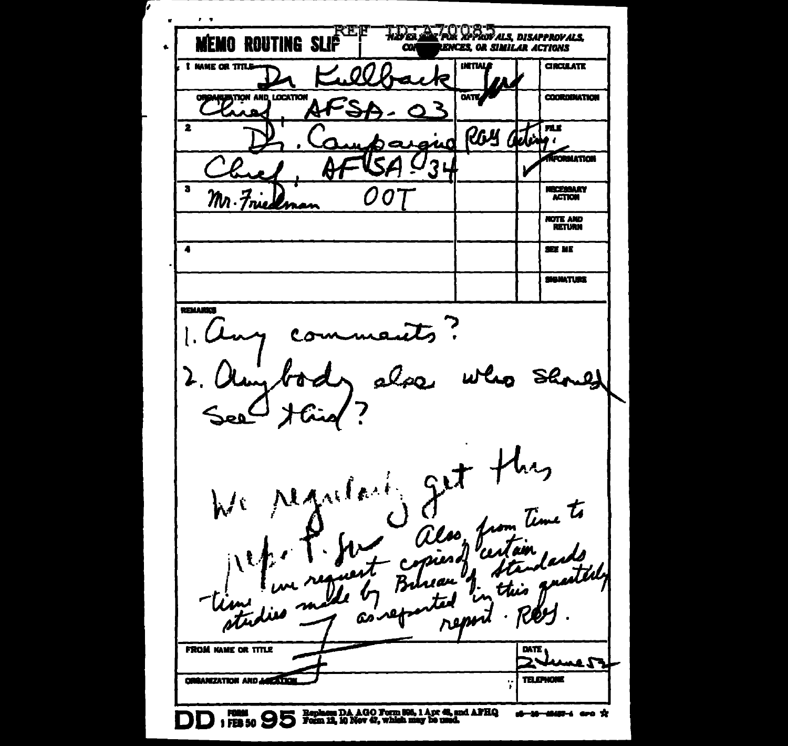$\mathbf{r}=\mathbf{r}$ **TO DESCRIPTION ALS.** E FIT Liva 4 **MEMO ROUTING SLIP ENCES OR SIMILAR ACTIONS**  $\bullet$  $\alpha$ **INTIALA CIRCULATE** I MAKE OR TITLE 9 **UP TON AND LOCATION OATE COORDINATION**  $\mathbf{z}$ **FALK** Rсц JJ ₩₹ U ow  $\boldsymbol{\alpha}$ **RECRMATION**  $\mathbf{3}$ **NECESSARY**  $\bullet$ **0** Ū M. Friedman **NOTE AND**<br>RETURN  $\bullet$ **SEX ME SIGNATURE** REMARKS £. æ۵ hy We regularly get + Time to also from ( 1 بملمدا estére rem **FROM NAME OR TITLE DATE KAMEST ORGANIZATION AND JUST TOM TELEPHONE** Ÿ DD 1 FEB 50 95 Form 13, 10 Nov 42, which may be used. al-10-4040-4 are X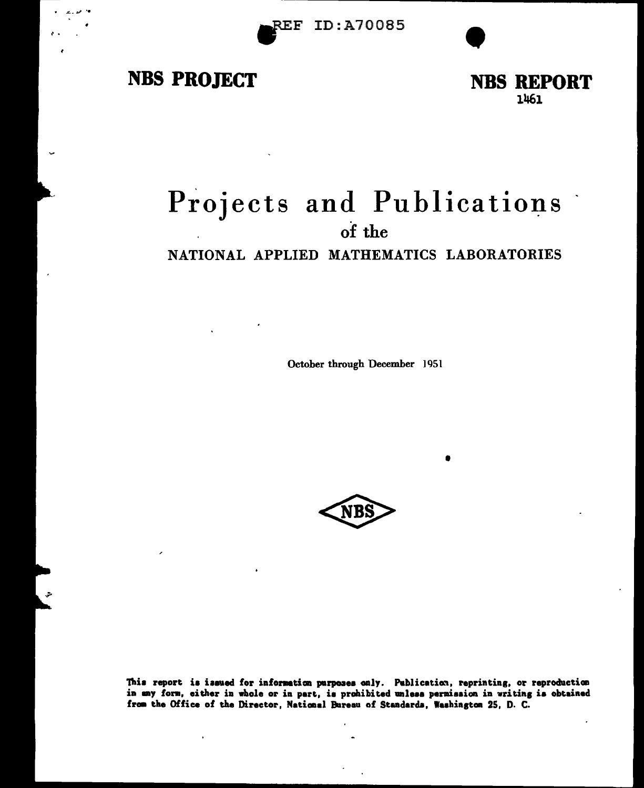# **NBS PROJECT**

**NBS REPORT** 1461

# Projects and Publications of the NATIONAL APPLIED MATHEMATICS LABORATORIES

October through December 1951



This report is issued for information purposes only. Publication, reprinting, or reproduction in any form, either in whole or in part, is prohibited unless permission in writing is obtained from the Office of the Director, National Bureau of Standards, Washington 25, D. C.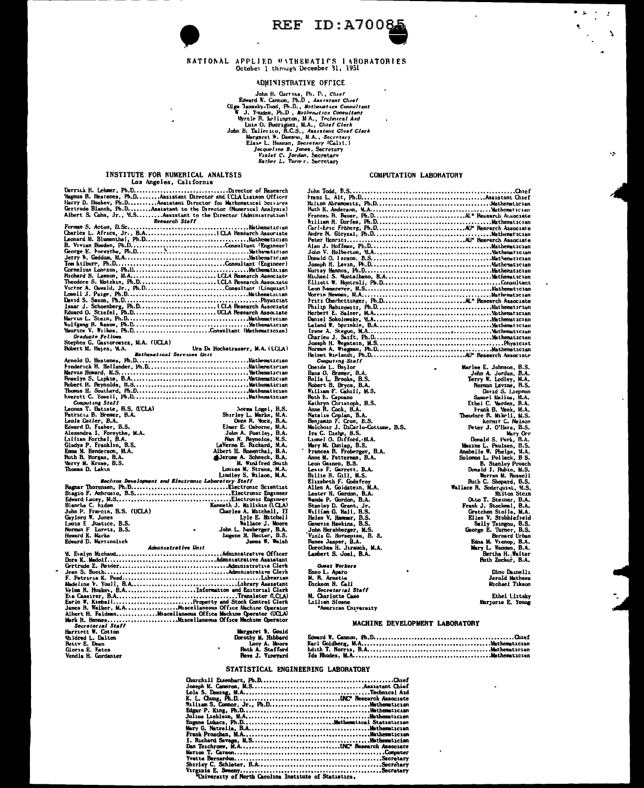**REF ID: A70085** 

#### NATIONAL APPLIED WITHEMATICS IABORATORIES October 1 through December 31, 1951

## **ADMINISTRATIVE OFFICE**

The Martins, Ph. D., Charles Corner<br>
John H. Christopher, N. D., Charles Consultant<br>
W. J. Youden, Ph.D., Mothematics Consultant<br>
W. J. Youden, Ph.D., Mothematics Consultant<br>
W. J. Youden, Ph.D., Mothematics Consultant<br>
Wr

#### INSTITUTE FOR NUMERICAL ANALYSIS Los Angeles, California

Learner Magnetics, Carl Corner and CLA Liancon of Research<br>
Magnus R. Hestenes, Ph.D..........Assistant Director and CLA Liancon Officer<br>
Herry D. Huskey, Ph.D..........Assistant Director for Musthematical Services<br>
Geriru

| B. Vivian Bowden, Ph.DConsultant (Engineer)       |  |
|---------------------------------------------------|--|
|                                                   |  |
|                                                   |  |
|                                                   |  |
|                                                   |  |
|                                                   |  |
|                                                   |  |
| Victor A. Oswald, Jr., Ph.DConsultant (Linquist)  |  |
|                                                   |  |
|                                                   |  |
|                                                   |  |
|                                                   |  |
|                                                   |  |
|                                                   |  |
| Maurice V. Wilkes, Ph.DConsultant (Mathematician) |  |
| <b>Graduate Fellows</b>                           |  |

Stephen G. Gastorowicz, N.A. (UCLA)

| Hobert M. Haves. M.A. |                                   | Urs De Hochstrasser, M.A. (LCLA) |
|-----------------------|-----------------------------------|----------------------------------|
|                       | <b>Mathematical Services Unit</b> |                                  |
|                       |                                   |                                  |
| .                     |                                   |                                  |

and a string

and the company

| Thomas ii. Soutiard, Ph.DMathematician |  |
|----------------------------------------|--|
|                                        |  |
| Computing Staff                        |  |

| Leonus T. Batıste, B.S. (LCLA) | Norma Logel, B.S.         |
|--------------------------------|---------------------------|
| Patricia B. Bremer, B.A.       | Shirley L. Marks. M.A.    |
| Leola Cutler, B.A.             | Dren H. Mock, B.A.        |
| Edward D. Fisher, B.S.         | Elmer E. Osborne, M.A.    |
| Alexandra I. Forsythe, M.A.    | John A. Postley, B.A.     |
| 'ıllım Forthel, B.A.           | Nan N. Reynolds, M.S.     |
| Gladys P. Franklın, B.S.       | LaVerne E. Ruckard, M.A.  |
| Emma M. Henderson, M.A.        | Albert H. Rosenthal. B.A. |
| luth B. Horgan, B.A.           | Alerone A. Schneck, B.A.  |
| Werry M. Kruse, B.S.           | M. Winifred Smith         |
| Thomas D. Lakın                | Louise M. Straus, M.A.    |
|                                | Lindley S. Wilson, M.A.   |
|                                |                           |

|                              |  |                | Machine Development and Electronic Laboratory Staff |
|------------------------------|--|----------------|-----------------------------------------------------|
|                              |  |                |                                                     |
|                              |  |                |                                                     |
|                              |  |                |                                                     |
| Blanche C. kidem             |  |                | Kenneth J. Mallakan (LCLA)                          |
| John P. Francis, B.S. (UCLA) |  |                | Charles A. Mitchell. II                             |
| Gaylord W. Jones             |  |                | Lyle E. Matchell                                    |
| Louis E Justice, B.S.        |  |                | Wallace J. Moore                                    |
| Norman F Loretz, B.S.        |  | $\blacksquare$ | John L. Newberger, B.A.                             |
| Howard K. Marks              |  |                | Lugene M. Rector, B.S.                              |
| Edward D. Martinolich        |  |                | James W. Walsh                                      |
|                              |  |                |                                                     |

Administrative Unit

Secretarial Science<br>National W. Cotton<br>Naldred L. Dalton<br>Gioria E. Estes<br>Vendia H. Gordanier

#### COMPUTATION LABORATORY

N

 $\overline{\phantom{a}}$ 

COMPUTATION LABORATORY<br>
Francis L. M. Ph. Commons (Control (1980), and the control (1980), and the control (1980), and the control (1981), and the control (1981), and the control (1981), and the control (1981), and the co Ferry W. Leddey, M.A.<br>
Rowan Levane, B.S.<br>
Samuel Mallions, M.A.<br>
Norval S. Jaepten<br>
Samuel Mallions, M.A.<br>
trank B. Week, M.A.<br>
trank B. Week, M.A.<br>
trank B. Week, M.A.<br>
herdor R. Mikell, M.S.<br>
Rowan L. Pollack, B.S.<br>
Man **Guest Workers** Enzo L. Aparo<br>M. R. Arnette<br>Dickson H. Call Dino Dannellı Jerold Mathews Secretarial Staff<br>M. Charlotte Case<br>Lillian Sioane<br>\*American University Ethel Liztsky Marjorie E. Young

#### MACHINE DEVELOPMENT LABORATORY

| MATERIEL B. CONIG<br>Dorothy M. Hibbard |  |
|-----------------------------------------|--|
| Lucy A. Moore                           |  |
| <b>Ruth A. Stafford</b>                 |  |
| Reve J. Vinevard                        |  |

#### STATISTICAL ENGINEERING LABORATORY

| Eugene Lukacs, Ph.DMathematical Statistician |  |
|----------------------------------------------|--|
|                                              |  |
|                                              |  |
|                                              |  |
|                                              |  |
|                                              |  |
|                                              |  |
|                                              |  |
|                                              |  |
| .                                            |  |

"University of North Carolina Institute of Statistics.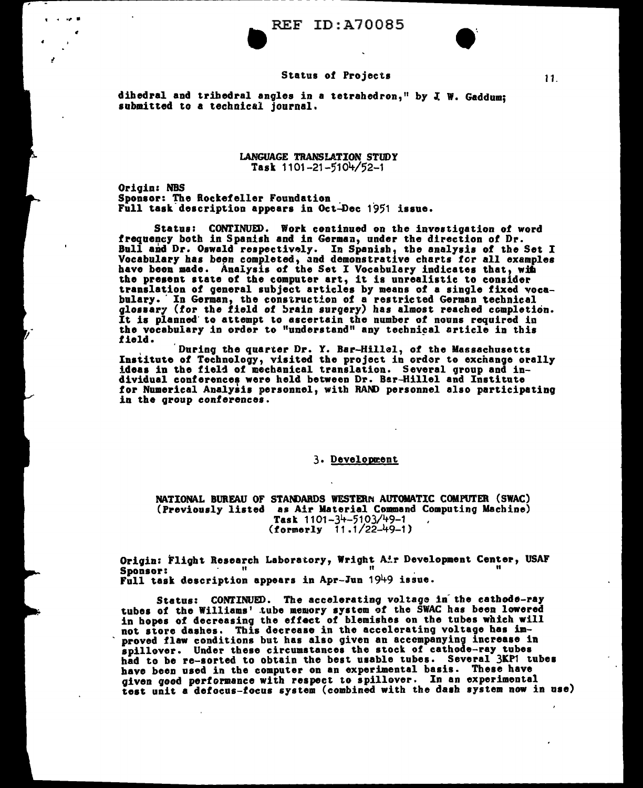## Status of Projects

dihedral and trihedral angles in a tetrahedron," by J. W. Gaddum: submitted to a technical journal.

> LANGUAGE TRANSLATION STUDY Task 1101-21-5104/52-1

Origin: NBS<br>Sponsor: The Rockefeller Foundation Full task description appears in Oct-Dec 1951 issue.

Status: CONTINUED. Work continued on the investigation of word frequency both in Spanish and in German, under the direction of Dr. Bull and Dr. Oswald respectively. In Spanish, the analysis of the Set I Vocabulary has been completed, and demonstrative charts for all examples have been made. Analysis of the Set I Vocabulary indicates that, with have been made. Analysis of the Set I Vocabulary indicates that, with the present state of the computer art, it is unrealistic to consider translation of general subject articles by means of a single fixed vocabulary. In German, the construction of a restricted German technical glossary (for the field of brain surgery) has almost reached completion.<br>It is planned' to attempt to ascertain the number of nouns required in the vocabulary in order to "understand" any technical article in this field.

During the quarter Dr. Y. Bar-Hillel, of the Massachusetts<br>Institute of Technology, visited the project in order to exchange orally ideas in the field of mechanical translation. Several group and individual conferences were held between Dr. Ber-Hillel and Institute for Numerical Analysis personnel, with RAND personnel also participating in the group conferences.

## 3. Development

NATIONAL BUREAU OF STANDARDS WESTERN AUTOMATIC COMPUTER (SWAC)<br>(Previously listed as Air Material Command Computing Machine) Task 1101-34-5103/49-1 (formerly 11 .1/22-49-1)

Origin: Flight Research Laboratory, Wright Air Development Center, USAF<br>Sponsor: " Sponsor: " " " Full task description appears in Apr-lun 1949 issue.

Status: CONTINUED. The accelerating voltage in the cathode-ray tubes of the Williams' tube memory system of the SWAC has been lowered in hopes of decreasing the effect of blemishes on the tubes which will not store dashes. This decrease in the accelerating voltage bas improved flaw conditions but has also given an accompanying increase in spillover. Under these circumstances the stock of cathode-ray tubes had to be re-sorted to obtain the best usable tubes. Several 3KP1 tubes have been used in the computer on an experimental basis. These have given good performance with respect to spillover. In an experimental test unit a defocus-focus system (combined with the dash system now in use)

11.

 $\bullet$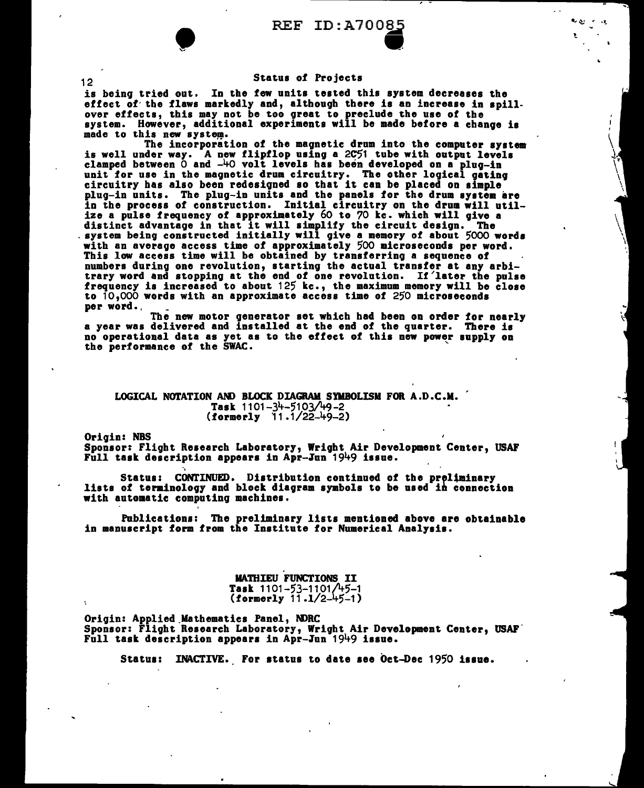$\ldots$ 

### Status of Projects

is being tried out. In the few units tested this system decreases the effect of the flaws markedly and, although there is an increase in spillover effects, this may not be too great to preclude the use of the system. However, additional experiments will be made before a change is made to this new system.<br>The incorporation of the magnetic drum into the computer system

is well under way. A new flipflop using a 2C51 tube with output levels clamped between 0 and  $-40$  volt levels has been developed on a plug-in clamped between 0 and -40 volt levels has been developed on a plug-in<br>unit for use in the magnetic drum circuitry. The other logical gating<br>circuitry has also been redesigned so that it can be placed on simple<br>plug-in unit in the process of construction. Initial circuitry on the drum will utilize a pulse frequency of approximately 60 to *70* kc. which will give a distinct advantage in that it will simplify the circuit design. The . system being constructed initially will give a memory of about 5000 words system being constructed initially will give a memory of about 5000 words.<br>with an average access time of approximately 500 microseconds per word. This low access time will be obtained by transferring a sequence of numbers during one revolution, starting the actual transfer at any arbi-<br>trary word and stopping at the end of one revolution. If later the pulse frequency is increased to about  $125$  kc., the maximum memory will be close to 10,000 words with an approximate access time of 250 microseconds per word.,

The new motor generator set which had been on order for nearly a year was delivered and installed at the end of the quarter. There is no operational data as yet as to the effect of this new power supply on the performance of the SWAC.

LOGICAL NOTATION AND BLOCK DIAGRAM SYMBOLISM FOR A.D.C.M. Task  $1101 - 34 - 5103/49 - 2$  $(formetry 11.1/22-49-2)$ 

Origin: NBS

Sponsor: Flight Research Laboratory, Wright Air Development Center, USAF Full task description appears in Apr-Jun 1949 issue.

Status: CONTINUED. Distribution continued of the preliminary lists of terminology and block diagram symbols to be used in connection with automatic computing machines.

Publications: The preliminary lists mentioned above are obtainable in manuscript form from the Institute for Numerical Analysis.

> **MATHIEU FUNCTIONS II** Task 1101-53-1101/45-1 (formerly 11 .1/2-45-1)

Origin: Applied.Mathematics Panel, NDRC Sponsor: Flight Research Laboratory, Wright Air Development Center, USAF. Full task description appears in Apr-lun 1949 issue.

Status: INACTIVE. For status to date see bet-Dec 1950 issue.

12

•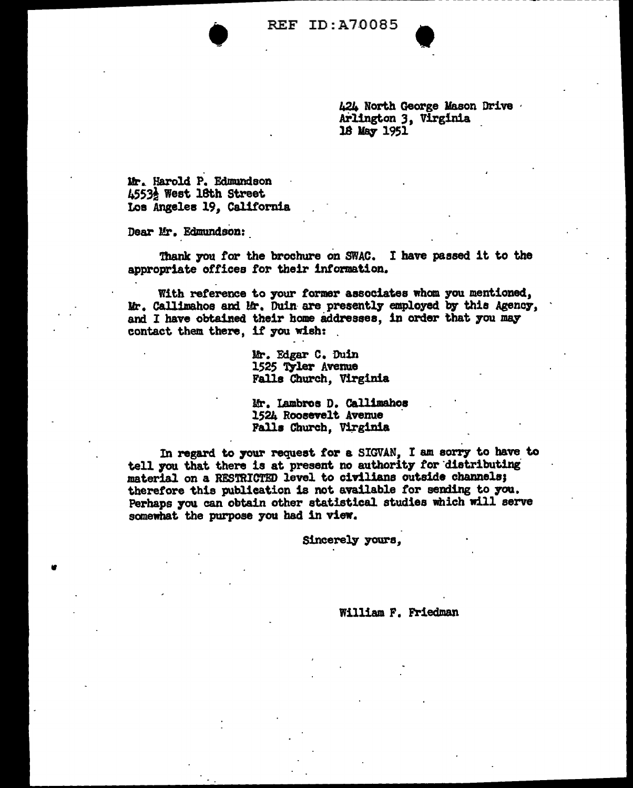

424 North George Mason Drive ·<br>Arlington 3, Virginia 18 May 1951

Hr.. Harold P. Edmundson 4553i West 18th Street Loa Angeles 19, California

Dear Mr. Edmundson:

•

Thank you for the brochure on SWAC. I have passed it to the appropriate offices *tor* their information.

With reference to your former associates whom you mentioned, Mr. Callimahos and Mr. Duin-are presently employed by this Agency, and I have obtained their home addresses, in order that you may contact them there, if you wish:

> Mr. Fdgar C. Duin 1525 Tyler Avenue Falla Church, Virginia

Mr. Lambros D. Callimahos 1524 Roosevelt Avenue Falls Church, Virginia

In regard to your request for a SIGVAN. I am sorry to have to tell you that there is at present no authority for distributing material on a RESTRICTED level to civilians outside channels;<br>therefore this publication is not available for sending to you. Perhaps you can obtain other statistical studies which will serve somewhat the purpose you had in view.

Sincerely yours.

William F. Friedman